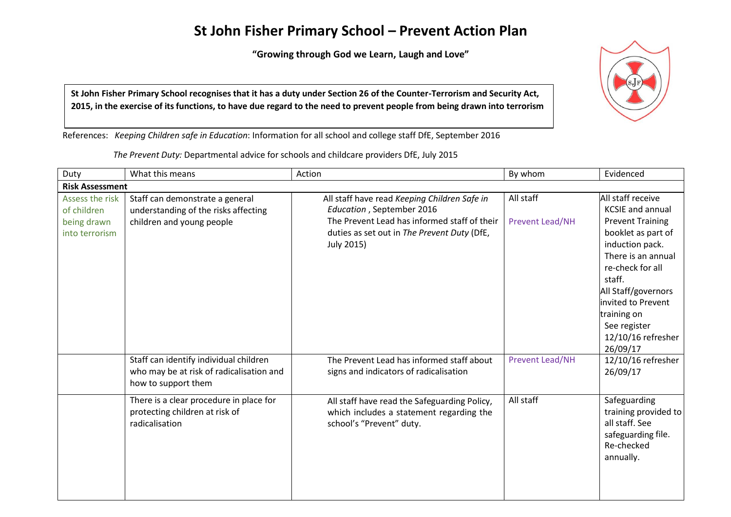## **St John Fisher Primary School – Prevent Action Plan**

**"Growing through God we Learn, Laugh and Love"**



St John Fisher Primary School recognises that it has a duty under Section 26 of the Counter-Terrorism and Security Act, 2015, in the exercise of its functions, to have due regard to the need to prevent people from being drawn into terrorism

References: *Keeping Children safe in Education*: Information for all school and college staff DfE, September 2016

*The Prevent Duty:* Departmental advice for schools and childcare providers DfE, July 2015

| Duty                           | What this means                                                                                           | Action                                                                                                               | By whom                | Evidenced                                                                                                                                                                                                                          |  |
|--------------------------------|-----------------------------------------------------------------------------------------------------------|----------------------------------------------------------------------------------------------------------------------|------------------------|------------------------------------------------------------------------------------------------------------------------------------------------------------------------------------------------------------------------------------|--|
| <b>Risk Assessment</b>         |                                                                                                           |                                                                                                                      |                        |                                                                                                                                                                                                                                    |  |
| Assess the risk<br>of children | Staff can demonstrate a general<br>understanding of the risks affecting                                   | All staff have read Keeping Children Safe in<br>Education, September 2016                                            | All staff              | All staff receive<br><b>KCSIE and annual</b>                                                                                                                                                                                       |  |
| being drawn<br>into terrorism  | children and young people                                                                                 | The Prevent Lead has informed staff of their<br>duties as set out in The Prevent Duty (DfE,<br>July 2015)            | <b>Prevent Lead/NH</b> | <b>Prevent Training</b><br>booklet as part of<br>induction pack.<br>There is an annual<br>re-check for all<br>staff.<br>All Staff/governors<br>invited to Prevent<br>training on<br>See register<br>12/10/16 refresher<br>26/09/17 |  |
|                                | Staff can identify individual children<br>who may be at risk of radicalisation and<br>how to support them | The Prevent Lead has informed staff about<br>signs and indicators of radicalisation                                  | <b>Prevent Lead/NH</b> | 12/10/16 refresher<br>26/09/17                                                                                                                                                                                                     |  |
|                                | There is a clear procedure in place for<br>protecting children at risk of<br>radicalisation               | All staff have read the Safeguarding Policy,<br>which includes a statement regarding the<br>school's "Prevent" duty. | All staff              | Safeguarding<br>training provided to<br>all staff. See<br>safeguarding file.<br>Re-checked<br>annually.                                                                                                                            |  |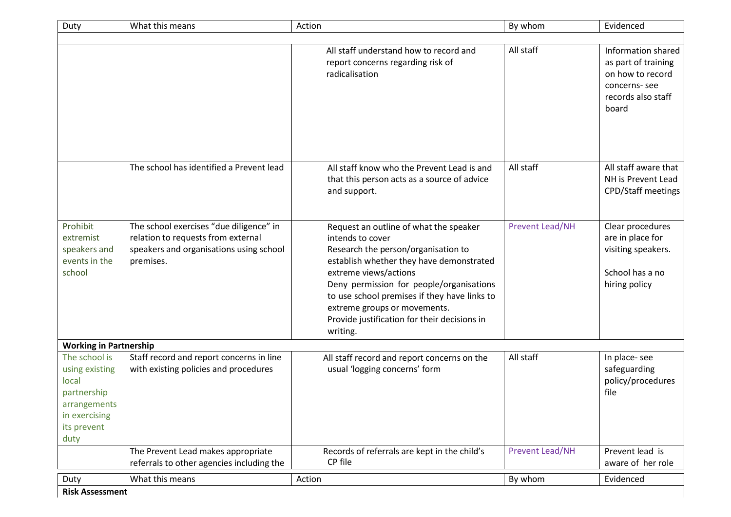| Duty                                                                                                            | What this means                                                                                                                       | Action                                                                                                                                                                                                                                                                                                                                                         | By whom                | Evidenced                                                                                                    |
|-----------------------------------------------------------------------------------------------------------------|---------------------------------------------------------------------------------------------------------------------------------------|----------------------------------------------------------------------------------------------------------------------------------------------------------------------------------------------------------------------------------------------------------------------------------------------------------------------------------------------------------------|------------------------|--------------------------------------------------------------------------------------------------------------|
|                                                                                                                 |                                                                                                                                       |                                                                                                                                                                                                                                                                                                                                                                |                        |                                                                                                              |
|                                                                                                                 |                                                                                                                                       | All staff understand how to record and<br>report concerns regarding risk of<br>radicalisation                                                                                                                                                                                                                                                                  | All staff              | Information shared<br>as part of training<br>on how to record<br>concerns-see<br>records also staff<br>board |
|                                                                                                                 | The school has identified a Prevent lead                                                                                              | All staff know who the Prevent Lead is and<br>that this person acts as a source of advice<br>and support.                                                                                                                                                                                                                                                      | All staff              | All staff aware that<br>NH is Prevent Lead<br><b>CPD/Staff meetings</b>                                      |
| Prohibit<br>extremist<br>speakers and<br>events in the<br>school                                                | The school exercises "due diligence" in<br>relation to requests from external<br>speakers and organisations using school<br>premises. | Request an outline of what the speaker<br>intends to cover<br>Research the person/organisation to<br>establish whether they have demonstrated<br>extreme views/actions<br>Deny permission for people/organisations<br>to use school premises if they have links to<br>extreme groups or movements.<br>Provide justification for their decisions in<br>writing. | <b>Prevent Lead/NH</b> | Clear procedures<br>are in place for<br>visiting speakers.<br>School has a no<br>hiring policy               |
| <b>Working in Partnership</b>                                                                                   |                                                                                                                                       |                                                                                                                                                                                                                                                                                                                                                                |                        |                                                                                                              |
| The school is<br>using existing<br>local<br>partnership<br>arrangements<br>in exercising<br>its prevent<br>duty | Staff record and report concerns in line<br>with existing policies and procedures                                                     | All staff record and report concerns on the<br>usual 'logging concerns' form                                                                                                                                                                                                                                                                                   | All staff              | In place-see<br>safeguarding<br>policy/procedures<br>file                                                    |
|                                                                                                                 | The Prevent Lead makes appropriate<br>referrals to other agencies including the                                                       | Records of referrals are kept in the child's<br>CP file                                                                                                                                                                                                                                                                                                        | <b>Prevent Lead/NH</b> | Prevent lead is<br>aware of her role                                                                         |
| Duty                                                                                                            | What this means                                                                                                                       | Action                                                                                                                                                                                                                                                                                                                                                         | By whom                | Evidenced                                                                                                    |
| <b>Risk Assessment</b>                                                                                          |                                                                                                                                       |                                                                                                                                                                                                                                                                                                                                                                |                        |                                                                                                              |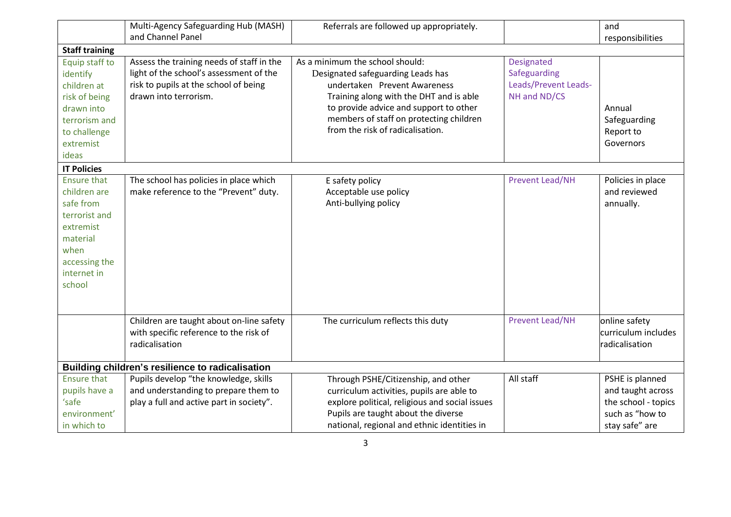|                                                                                                                                             | Multi-Agency Safeguarding Hub (MASH)                                                                                                                   | Referrals are followed up appropriately.                                                                                                                                                                                                                                 |                                                                           | and                                                                                              |
|---------------------------------------------------------------------------------------------------------------------------------------------|--------------------------------------------------------------------------------------------------------------------------------------------------------|--------------------------------------------------------------------------------------------------------------------------------------------------------------------------------------------------------------------------------------------------------------------------|---------------------------------------------------------------------------|--------------------------------------------------------------------------------------------------|
|                                                                                                                                             | and Channel Panel                                                                                                                                      |                                                                                                                                                                                                                                                                          |                                                                           | responsibilities                                                                                 |
| <b>Staff training</b>                                                                                                                       |                                                                                                                                                        |                                                                                                                                                                                                                                                                          |                                                                           |                                                                                                  |
| Equip staff to<br>identify<br>children at<br>risk of being<br>drawn into<br>terrorism and<br>to challenge<br>extremist                      | Assess the training needs of staff in the<br>light of the school's assessment of the<br>risk to pupils at the school of being<br>drawn into terrorism. | As a minimum the school should:<br>Designated safeguarding Leads has<br>undertaken Prevent Awareness<br>Training along with the DHT and is able<br>to provide advice and support to other<br>members of staff on protecting children<br>from the risk of radicalisation. | <b>Designated</b><br>Safeguarding<br>Leads/Prevent Leads-<br>NH and ND/CS | Annual<br>Safeguarding<br>Report to<br>Governors                                                 |
| ideas                                                                                                                                       |                                                                                                                                                        |                                                                                                                                                                                                                                                                          |                                                                           |                                                                                                  |
| <b>IT Policies</b>                                                                                                                          |                                                                                                                                                        |                                                                                                                                                                                                                                                                          |                                                                           |                                                                                                  |
| <b>Ensure that</b><br>children are<br>safe from<br>terrorist and<br>extremist<br>material<br>when<br>accessing the<br>internet in<br>school | The school has policies in place which<br>make reference to the "Prevent" duty.                                                                        | E safety policy<br>Acceptable use policy<br>Anti-bullying policy                                                                                                                                                                                                         | <b>Prevent Lead/NH</b>                                                    | Policies in place<br>and reviewed<br>annually.                                                   |
|                                                                                                                                             | Children are taught about on-line safety<br>with specific reference to the risk of<br>radicalisation                                                   | The curriculum reflects this duty                                                                                                                                                                                                                                        | <b>Prevent Lead/NH</b>                                                    | online safety<br>curriculum includes<br>radicalisation                                           |
|                                                                                                                                             | Building children's resilience to radicalisation                                                                                                       |                                                                                                                                                                                                                                                                          |                                                                           |                                                                                                  |
| <b>Ensure that</b><br>pupils have a<br>'safe<br>environment'<br>in which to                                                                 | Pupils develop "the knowledge, skills<br>and understanding to prepare them to<br>play a full and active part in society".                              | Through PSHE/Citizenship, and other<br>curriculum activities, pupils are able to<br>explore political, religious and social issues<br>Pupils are taught about the diverse<br>national, regional and ethnic identities in                                                 | All staff                                                                 | PSHE is planned<br>and taught across<br>the school - topics<br>such as "how to<br>stay safe" are |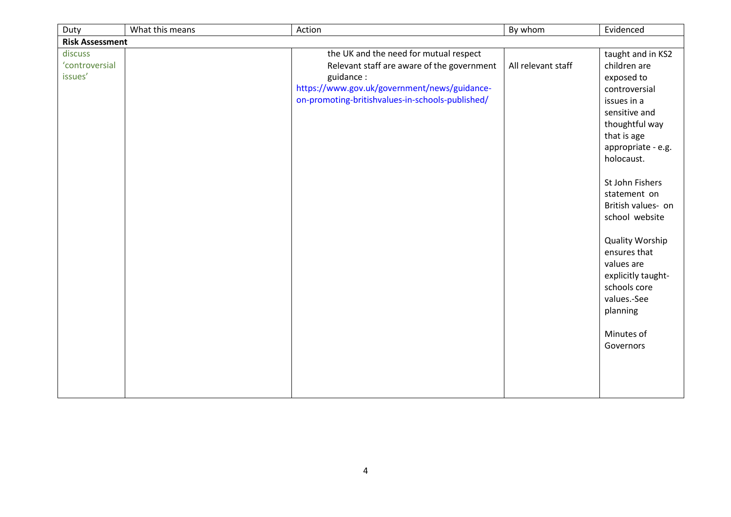| Duty                                 | What this means | Action                                                                                                                                                                                                | By whom            | Evidenced                                                                                                                                                                                                                                                                                                                                                                                            |
|--------------------------------------|-----------------|-------------------------------------------------------------------------------------------------------------------------------------------------------------------------------------------------------|--------------------|------------------------------------------------------------------------------------------------------------------------------------------------------------------------------------------------------------------------------------------------------------------------------------------------------------------------------------------------------------------------------------------------------|
| <b>Risk Assessment</b>               |                 |                                                                                                                                                                                                       |                    |                                                                                                                                                                                                                                                                                                                                                                                                      |
| discuss<br>'controversial<br>issues' |                 | the UK and the need for mutual respect<br>Relevant staff are aware of the government<br>guidance:<br>https://www.gov.uk/government/news/guidance-<br>on-promoting-britishvalues-in-schools-published/ | All relevant staff | taught and in KS2<br>children are<br>exposed to<br>controversial<br>issues in a<br>sensitive and<br>thoughtful way<br>that is age<br>appropriate - e.g.<br>holocaust.<br>St John Fishers<br>statement on<br>British values- on<br>school website<br><b>Quality Worship</b><br>ensures that<br>values are<br>explicitly taught-<br>schools core<br>values.-See<br>planning<br>Minutes of<br>Governors |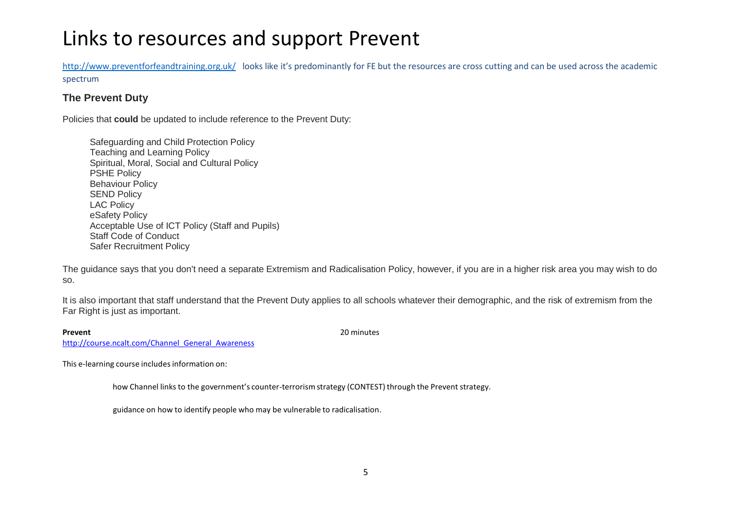# Links to resources and support Prevent

[http://www.preventforfeandtraining.org.uk/ lo](http://www.preventforfeandtraining.org.uk/)oks like it's predominantly for FE but the resources are cross cutting and can be used across the academic spectrum

### **The Prevent Duty**

Policies that **could** be updated to include reference to the Prevent Duty:

 Safeguarding and Child Protection Policy Teaching and Learning Policy Spiritual, Moral, Social and Cultural Policy PSHE Policy Behaviour Policy SEND Policy LAC Policy eSafety Policy Acceptable Use of ICT Policy (Staff and Pupils) Staff Code of Conduct Safer Recruitment Policy

The guidance says that you don't need a separate Extremism and Radicalisation Policy, however, if you are in a higher risk area you may wish to do so.

It is also important that staff understand that the Prevent Duty applies to all schools whatever their demographic, and the risk of extremism from the Far Right is just as important.

**Prevent** 20 minutes

[http://course.ncalt.com/Channel\\_General\\_Awareness](http://course.ncalt.com/Channel_General_Awareness)

This e-learning course includes information on:

how Channel links to the government's counter-terrorism strategy (CONTEST) through the Prevent strategy.

guidance on how to identify people who may be vulnerable to radicalisation.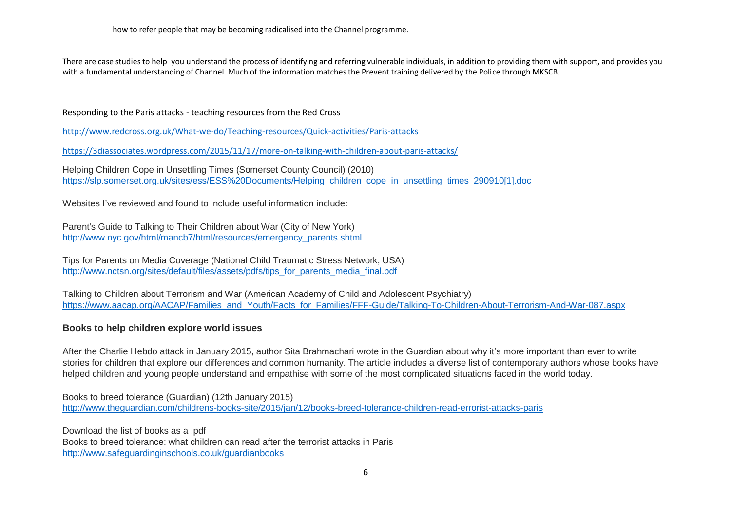how to refer people that may be becoming radicalised into the Channel programme.

There are case studiesto help you understand the process of identifying and referring vulnerable individuals, in addition to providing them with support, and provides you with a fundamental understanding of Channel. Much of the information matchesthe Prevent training delivered by the Police through MKSCB.

Responding to the Paris attacks - teaching resources from the Red Cross

<http://www.redcross.org.uk/What-we-do/Teaching-resources/Quick-activities/Paris-attacks>

<https://3diassociates.wordpress.com/2015/11/17/more-on-talking-with-children-about-paris-attacks/>

Helping Children Cope in Unsettling Times (Somerset County Council) (2010) [https://slp.somerset.org.uk/sites/ess/ESS%20Documents/Helping\\_children\\_cope\\_in\\_unsettling\\_times\\_290910\[1\].doc](http://app.getresponse.com/click.html?x=a62b&lc=HCJjP&mc=Cv&s=wUYTOa&u=Zxdu&y=f&)

Websites I've reviewed and found to include useful information include:

Parent's Guide to Talking to Their Children about War (City of New York) [http://www.nyc.gov/html/mancb7/html/resources/emergency\\_parents.shtml](http://app.getresponse.com/click.html?x=a62b&lc=HCJ5t&mc=Cv&s=wUYTOa&u=Zxdu&y=C&)

Tips for Parents on Media Coverage (National Child Traumatic Stress Network, USA) [http://www.nctsn.org/sites/default/files/assets/pdfs/tips\\_for\\_parents\\_media\\_final.pdf](http://app.getresponse.com/click.html?x=a62b&lc=HCJk1&mc=Cv&s=wUYTOa&u=Zxdu&y=b&)

Talking to Children about Terrorism and War (American Academy of Child and Adolescent Psychiatry) [https://www.aacap.org/AACAP/Families\\_and\\_Youth/Facts\\_for\\_Families/FFF-Guide/Talking-To-Children-About-Terrorism-And-War-087.aspx](http://app.getresponse.com/click.html?x=a62b&lc=HCJuX&mc=Cv&s=wUYTOa&u=Zxdu&y=v&)

#### **Books to help children explore world issues**

After the Charlie Hebdo attack in January 2015, author Sita Brahmachari wrote in the Guardian about why it's more important than ever to write stories for children that explore our differences and common humanity. The article includes a diverse list of contemporary authors whose books have helped children and young people understand and empathise with some of the most complicated situations faced in the world today.

Books to breed tolerance (Guardian) (12th January 2015) [http://www.theguardian.com/childrens-books-site/2015/jan/12/books-breed-tolerance-children-read-errorist-attacks-paris](http://app.getresponse.com/click.html?x=a62b&lc=HCJTE&mc=Cv&s=wUYTOa&u=Zxdu&y=B&)

Download the list of books as a .pdf Books to breed tolerance: what children can read after the terrorist attacks in Paris [http://www.safeguardinginschools.co.uk/guardianbooks](http://app.getresponse.com/click.html?x=a62b&lc=HCJcU&mc=Cv&s=wUYTOa&u=Zxdu&y=5&)